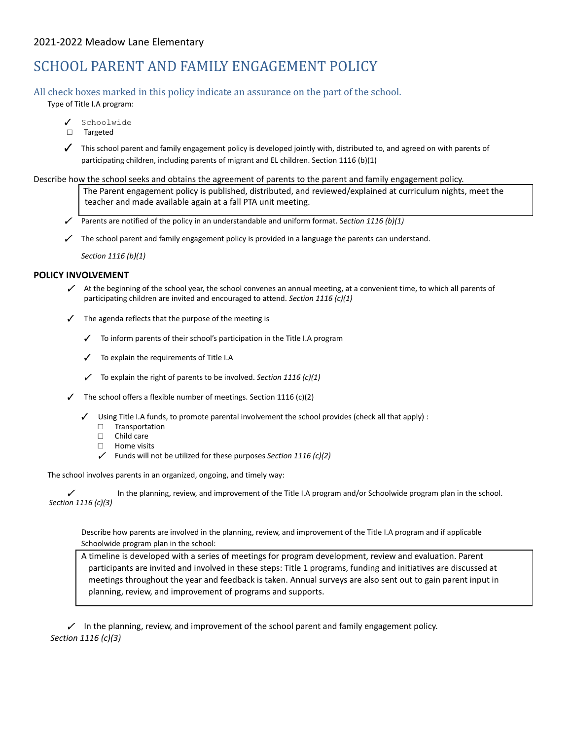## 2021-2022 Meadow Lane Elementary

# SCHOOL PARENT AND FAMILY ENGAGEMENT POLICY

## All check boxes marked in this policy indicate an assurance on the part of the school.

Type of Title I.A program:

- ✓ Schoolwide
- □ Targeted

✓ This school parent and family engagement policy is developed jointly with, distributed to, and agreed on with parents of participating children, including parents of migrant and EL children. Section 1116 (b)(1)

#### Describe how the school seeks and obtains the agreement of parents to the parent and family engagement policy.

The Parent engagement policy is published, distributed, and reviewed/explained at curriculum nights, meet the teacher and made available again at a fall PTA unit meeting.

- ✓ Parents are notified of the policy in an understandable and uniform format. S*ection 1116 (b)(1)*
- $\checkmark$  The school parent and family engagement policy is provided in a language the parents can understand.

*Section 1116 (b)(1)*

#### **POLICY INVOLVEMENT**

- $\checkmark$  At the beginning of the school year, the school convenes an annual meeting, at a convenient time, to which all parents of participating children are invited and encouraged to attend. *Section 1116 (c)(1)*
- ✓ The agenda reflects that the purpose of the meeting is
	- ✓ To inform parents of their school's participation in the Title I.A program
	- ✓ To explain the requirements of Title I.A
	- ✓ To explain the right of parents to be involved. *Section 1116 (c)(1)*
	- The school offers a flexible number of meetings. Section 1116 (c)(2)
		- ✓ Using Title I.A funds, to promote parental involvement the school provides (check all that apply) :
			- □ Transportation
			- □ Child care
			- □ Home visits
			- ✓ Funds will not be utilized for these purposes *Section 1116 (c)(2)*

The school involves parents in an organized, ongoing, and timely way:

In the planning, review, and improvement of the Title I.A program and/or Schoolwide program plan in the school. *Section 1116 (c)(3)*

Describe how parents are involved in the planning, review, and improvement of the Title I.A program and if applicable Schoolwide program plan in the school:

A timeline is developed with a series of meetings for program development, review and evaluation. Parent participants are invited and involved in these steps: Title 1 programs, funding and initiatives are discussed at meetings throughout the year and feedback is taken. Annual surveys are also sent out to gain parent input in planning, review, and improvement of programs and supports.

 $\angle$  In the planning, review, and improvement of the school parent and family engagement policy. *Section 1116 (c)(3)*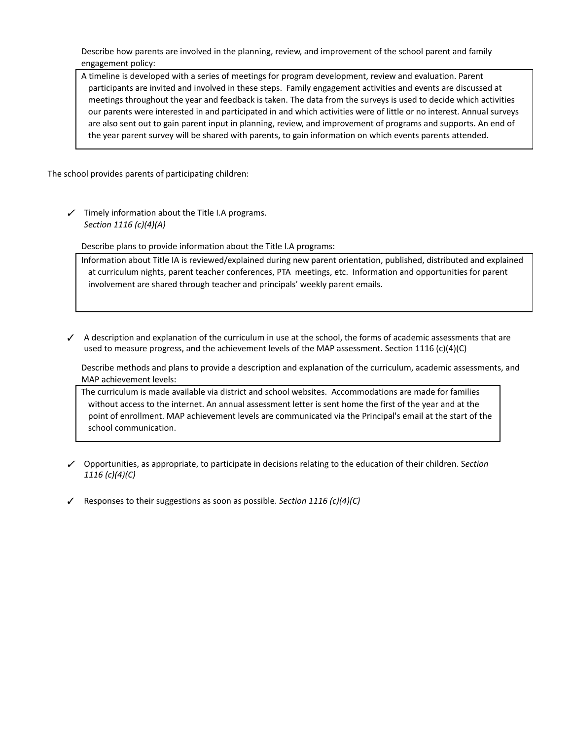Describe how parents are involved in the planning, review, and improvement of the school parent and family engagement policy:

A timeline is developed with a series of meetings for program development, review and evaluation. Parent participants are invited and involved in these steps. Family engagement activities and events are discussed at meetings throughout the year and feedback is taken. The data from the surveys is used to decide which activities our parents were interested in and participated in and which activities were of little or no interest. Annual surveys are also sent out to gain parent input in planning, review, and improvement of programs and supports. An end of the year parent survey will be shared with parents, to gain information on which events parents attended.

The school provides parents of participating children:

 $\checkmark$  Timely information about the Title I.A programs. *Section 1116 (c)(4)(A)*

Describe plans to provide information about the Title I.A programs:

Information about Title IA is reviewed/explained during new parent orientation, published, distributed and explained at curriculum nights, parent teacher conferences, PTA meetings, etc. Information and opportunities for parent involvement are shared through teacher and principals' weekly parent emails.

✓ A description and explanation of the curriculum in use at the school, the forms of academic assessments that are used to measure progress, and the achievement levels of the MAP assessment. Section 1116 (c)(4)(C)

Describe methods and plans to provide a description and explanation of the curriculum, academic assessments, and MAP achievement levels:

The curriculum is made available via district and school websites. Accommodations are made for families without access to the internet. An annual assessment letter is sent home the first of the year and at the point of enrollment. MAP achievement levels are communicated via the Principal's email at the start of the school communication.

- ✓ Opportunities, as appropriate, to participate in decisions relating to the education of their children. S*ection 1116 (c)(4)(C)*
- ✓ Responses to their suggestions as soon as possible. *Section 1116 (c)(4)(C)*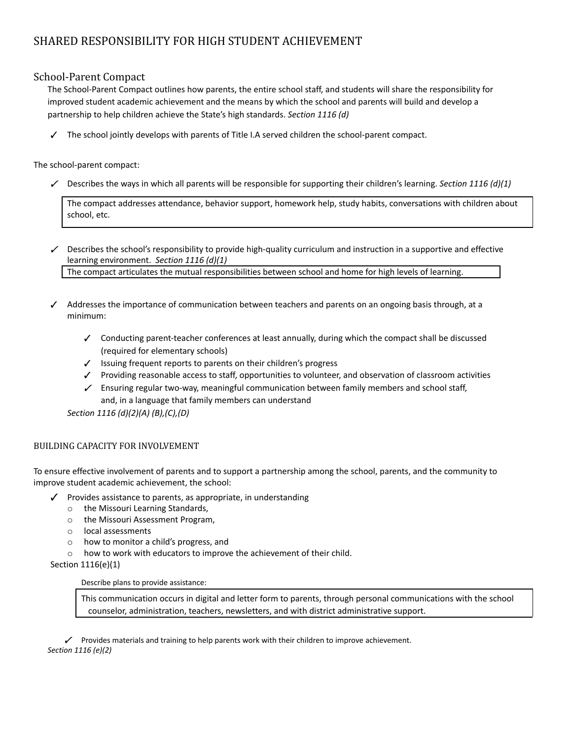## SHARED RESPONSIBILITY FOR HIGH STUDENT ACHIEVEMENT

## School-Parent Compact

The School-Parent Compact outlines how parents, the entire school staff, and students will share the responsibility for improved student academic achievement and the means by which the school and parents will build and develop a partnership to help children achieve the State's high standards. *Section 1116 (d)*

The school jointly develops with parents of Title I.A served children the school-parent compact.

The school-parent compact:

✓ Describes the ways in which all parents will be responsible for supporting their children's learning. *Section 1116 (d)(1)*

The compact addresses attendance, behavior support, homework help, study habits, conversations with children about school, etc.

 $\angle$  Describes the school's responsibility to provide high-quality curriculum and instruction in a supportive and effective learning environment. *Section 1116 (d)(1)*

The compact articulates the mutual responsibilities between school and home for high levels of learning.

- ✓ Addresses the importance of communication between teachers and parents on an ongoing basis through, at a minimum:
	- ✓ Conducting parent-teacher conferences at least annually, during which the compact shall be discussed (required for elementary schools)
	- ✓ Issuing frequent reports to parents on their children's progress
	- ✓ Providing reasonable access to staff, opportunities to volunteer, and observation of classroom activities
	- $\angle$  Ensuring regular two-way, meaningful communication between family members and school staff, and, in a language that family members can understand

*Section 1116 (d)(2)(A) (B),(C),(D)*

## BUILDING CAPACITY FOR INVOLVEMENT

To ensure effective involvement of parents and to support a partnership among the school, parents, and the community to improve student academic achievement, the school:

- ✓ Provides assistance to parents, as appropriate, in understanding
	- o the Missouri Learning Standards,
	- o the Missouri Assessment Program,
	- o local assessments
	- o how to monitor a child's progress, and
	- o how to work with educators to improve the achievement of their child.

Section 1116(e)(1)

### Describe plans to provide assistance:

This communication occurs in digital and letter form to parents, through personal communications with the school counselor, administration, teachers, newsletters, and with district administrative support.

✓ Provides materials and training to help parents work with their children to improve achievement. *Section 1116 (e)(2)*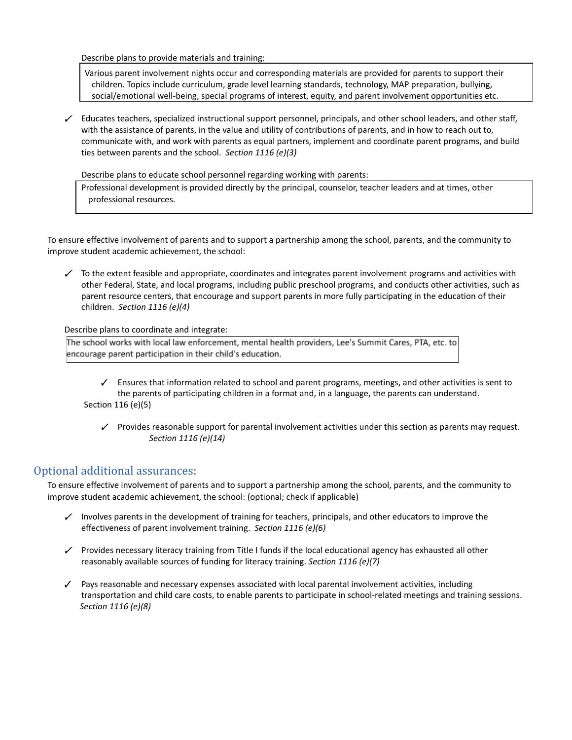Describe plans to provide materials and training:

Various parent involvement nights occur and corresponding materials are provided for parents to support their children. Topics include curriculum, grade level learning standards, technology, MAP preparation, bullying, social/emotional well-being, special programs of interest, equity, and parent involvement opportunities etc.

 $\angle$  Educates teachers, specialized instructional support personnel, principals, and other school leaders, and other staff, with the assistance of parents, in the value and utility of contributions of parents, and in how to reach out to, communicate with, and work with parents as equal partners, implement and coordinate parent programs, and build ties between parents and the school. *Section 1116 (e)(3)*

Describe plans to educate school personnel regarding working with parents:

Professional development is provided directly by the principal, counselor, teacher leaders and at times, other professional resources.

To ensure effective involvement of parents and to support a partnership among the school, parents, and the community to improve student academic achievement, the school:

To the extent feasible and appropriate, coordinates and integrates parent involvement programs and activities with other Federal, State, and local programs, including public preschool programs, and conducts other activities, such as parent resource centers, that encourage and support parents in more fully participating in the education of their children. *Section 1116 (e)(4)*

Describe plans to coordinate and integrate:

The school works with local law enforcement, mental health providers, Lee's Summit Cares, PTA, etc. to encourage parent participation in their child's education.

- ✓ Ensures that information related to school and parent programs, meetings, and other activities is sent to the parents of participating children in a format and, in a language, the parents can understand. Section 116 (e)(5)
	- ✓ Provides reasonable support for parental involvement activities under this section as parents may request. *Section 1116 (e)(14)*

## Optional additional assurances:

To ensure effective involvement of parents and to support a partnership among the school, parents, and the community to improve student academic achievement, the school: (optional; check if applicable)

- $\checkmark$  Involves parents in the development of training for teachers, principals, and other educators to improve the effectiveness of parent involvement training. *Section 1116 (e)(6)*
- ✓ Provides necessary literacy training from Title I funds if the local educational agency has exhausted all other reasonably available sources of funding for literacy training. *Section 1116 (e)(7)*
- ✓ Pays reasonable and necessary expenses associated with local parental involvement activities, including transportation and child care costs, to enable parents to participate in school-related meetings and training sessions. *Section 1116 (e)(8)*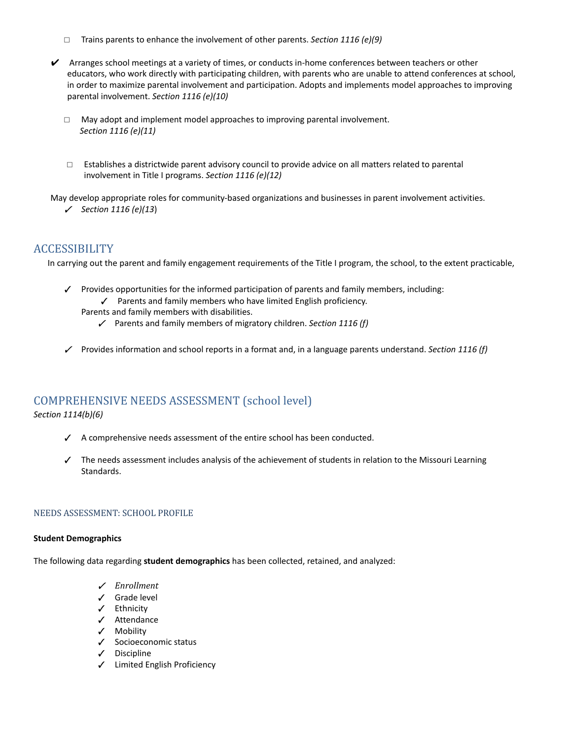- *□* Trains parents to enhance the involvement of other parents. *Section 1116 (e)(9)*
- $\checkmark$  Arranges school meetings at a variety of times, or conducts in-home conferences between teachers or other educators, who work directly with participating children, with parents who are unable to attend conferences at school, in order to maximize parental involvement and participation. Adopts and implements model approaches to improving parental involvement. *Section 1116 (e)(10)*
	- *□* May adopt and implement model approaches to improving parental involvement. *Section 1116 (e)(11)*
	- *□* Establishes a districtwide parent advisory council to provide advice on all matters related to parental involvement in Title I programs. *Section 1116 (e)(12)*

May develop appropriate roles for community-based organizations and businesses in parent involvement activities. ✓ *Section 1116 (e)(13*)

## **ACCESSIBILITY**

In carrying out the parent and family engagement requirements of the Title I program, the school, to the extent practicable,

- ✓ Provides opportunities for the informed participation of parents and family members, including:
	- ✓ Parents and family members who have limited English proficiency.

Parents and family members with disabilities.

- ✓ Parents and family members of migratory children. *Section 1116 (f)*
- ✓ Provides information and school reports in a format and, in a language parents understand. *Section 1116 (f)*

## COMPREHENSIVE NEEDS ASSESSMENT (school level)

### *Section 1114(b)(6)*

- ✓ A comprehensive needs assessment of the entire school has been conducted.
- ✓ The needs assessment includes analysis of the achievement of students in relation to the Missouri Learning Standards.

### NEEDS ASSESSMENT: SCHOOL PROFILE

### **Student Demographics**

The following data regarding **student demographics** has been collected, retained, and analyzed:

- ✓ *Enrollment*
- ✓ Grade level
- ✓ Ethnicity
- ✓ Attendance
- ✓ Mobility
- ✓ Socioeconomic status
- ✓ Discipline
- ✓ Limited English Proficiency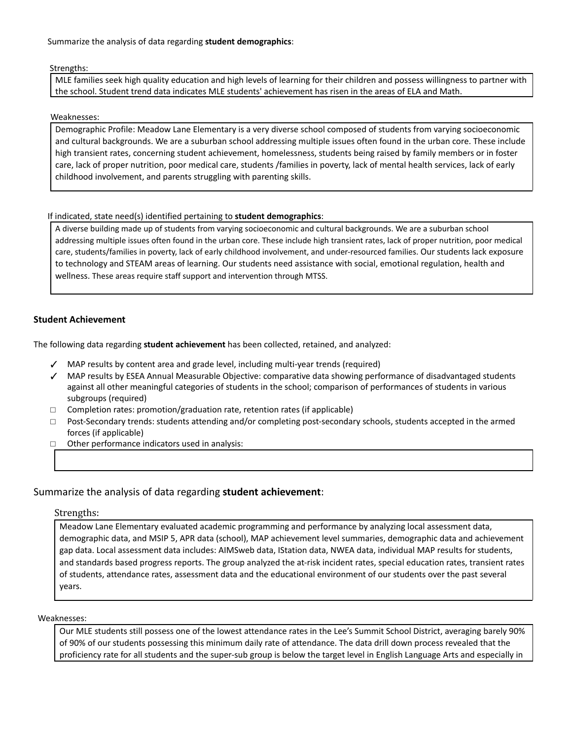Summarize the analysis of data regarding **student demographics**:

#### Strengths:

MLE families seek high quality education and high levels of learning for their children and possess willingness to partner with the school. Student trend data indicates MLE students' achievement has risen in the areas of ELA and Math.

#### Weaknesses:

Demographic Profile: Meadow Lane Elementary is a very diverse school composed of students from varying socioeconomic and cultural backgrounds. We are a suburban school addressing multiple issues often found in the urban core. These include high transient rates, concerning student achievement, homelessness, students being raised by family members or in foster care, lack of proper nutrition, poor medical care, students /families in poverty, lack of mental health services, lack of early childhood involvement, and parents struggling with parenting skills.

### If indicated, state need(s) identified pertaining to **student demographics**:

A diverse building made up of students from varying socioeconomic and cultural backgrounds. We are a suburban school addressing multiple issues often found in the urban core. These include high transient rates, lack of proper nutrition, poor medical care, students/families in poverty, lack of early childhood involvement, and under-resourced families. Our students lack exposure to technology and STEAM areas of learning. Our students need assistance with social, emotional regulation, health and wellness. These areas require staff support and intervention through MTSS.

### **Student Achievement**

The following data regarding **student achievement** has been collected, retained, and analyzed:

- ✓ MAP results by content area and grade level, including multi-year trends (required)
- ✓ MAP results by ESEA Annual Measurable Objective: comparative data showing performance of disadvantaged students against all other meaningful categories of students in the school; comparison of performances of students in various subgroups (required)
- □ Completion rates: promotion/graduation rate, retention rates (if applicable)
- □ Post-Secondary trends: students attending and/or completing post-secondary schools, students accepted in the armed forces (if applicable)
- □ Other performance indicators used in analysis:

### Summarize the analysis of data regarding **student achievement**:

### Strengths:

Meadow Lane Elementary evaluated academic programming and performance by analyzing local assessment data, demographic data, and MSIP 5, APR data (school), MAP achievement level summaries, demographic data and achievement gap data. Local assessment data includes: AIMSweb data, IStation data, NWEA data, individual MAP results for students, and standards based progress reports. The group analyzed the at-risk incident rates, special education rates, transient rates of students, attendance rates, assessment data and the educational environment of our students over the past several years.

#### Weaknesses:

Our MLE students still possess one of the lowest attendance rates in the Lee's Summit School District, averaging barely 90% of 90% of our students possessing this minimum daily rate of attendance. The data drill down process revealed that the proficiency rate for all students and the super-sub group is below the target level in English Language Arts and especially in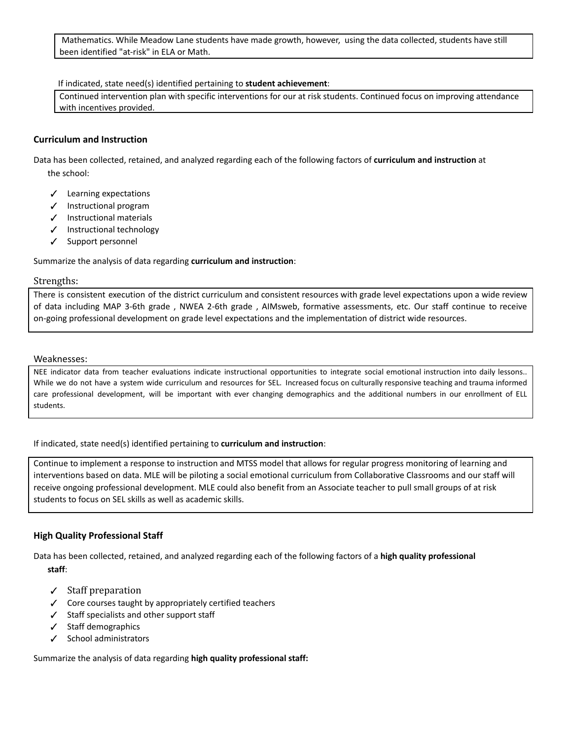Mathematics. While Meadow Lane students have made growth, however, using the data collected, students have still been identified "at-risk" in ELA or Math.

#### If indicated, state need(s) identified pertaining to **student achievement**:

Continued intervention plan with specific interventions for our at risk students. Continued focus on improving attendance with incentives provided.

### **Curriculum and Instruction**

Data has been collected, retained, and analyzed regarding each of the following factors of **curriculum and instruction** at the school:

- ✓ Learning expectations
- ✓ Instructional program
- ✓ Instructional materials
- ✓ Instructional technology
- ✓ Support personnel

Summarize the analysis of data regarding **curriculum and instruction**:

#### Strengths:

There is consistent execution of the district curriculum and consistent resources with grade level expectations upon a wide review of data including MAP 3-6th grade , NWEA 2-6th grade , AIMsweb, formative assessments, etc. Our staff continue to receive on-going professional development on grade level expectations and the implementation of district wide resources.

#### Weaknesses:

NEE indicator data from teacher evaluations indicate instructional opportunities to integrate social emotional instruction into daily lessons.. While we do not have a system wide curriculum and resources for SEL. Increased focus on culturally responsive teaching and trauma informed care professional development, will be important with ever changing demographics and the additional numbers in our enrollment of ELL students.

If indicated, state need(s) identified pertaining to **curriculum and instruction**:

Continue to implement a response to instruction and MTSS model that allows for regular progress monitoring of learning and interventions based on data. MLE will be piloting a social emotional curriculum from Collaborative Classrooms and our staff will receive ongoing professional development. MLE could also benefit from an Associate teacher to pull small groups of at risk students to focus on SEL skills as well as academic skills.

### **High Quality Professional Staff**

Data has been collected, retained, and analyzed regarding each of the following factors of a **high quality professional staff**:

- ✓ Staff preparation
- ✓ Core courses taught by appropriately certified teachers
- ✓ Staff specialists and other support staff
- ✓ Staff demographics
- ✓ School administrators

Summarize the analysis of data regarding **high quality professional staff:**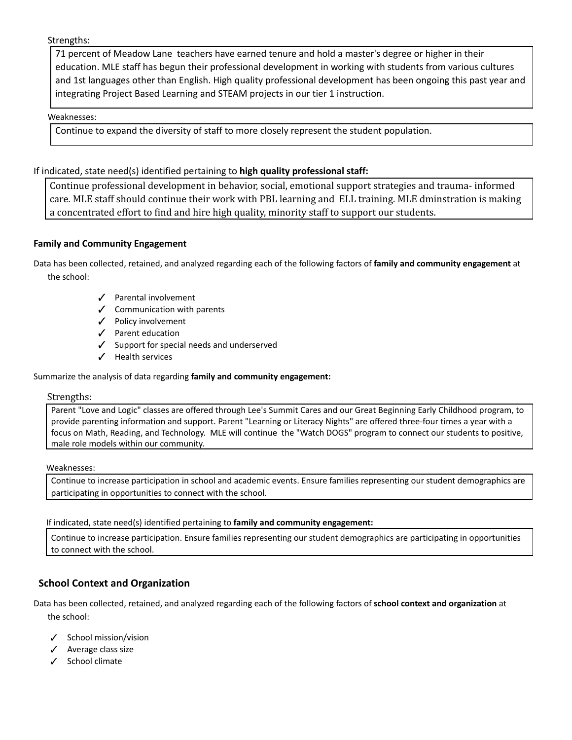Strengths:

71 percent of Meadow Lane teachers have earned tenure and hold a master's degree or higher in their education. MLE staff has begun their professional development in working with students from various cultures and 1st languages other than English. High quality professional development has been ongoing this past year and integrating Project Based Learning and STEAM projects in our tier 1 instruction.

## Weaknesses:

Continue to expand the diversity of staff to more closely represent the student population.

## If indicated, state need(s) identified pertaining to **high quality professional staff:**

Continue professional development in behavior, social, emotional support strategies and trauma- informed care. MLE staff should continue their work with PBL learning and ELL training. MLE dminstration is making a concentrated effort to find and hire high quality, minority staff to support our students.

## **Family and Community Engagement**

Data has been collected, retained, and analyzed regarding each of the following factors of **family and community engagement** at the school:

- ✓ Parental involvement
- ✓ Communication with parents
- ✓ Policy involvement
- ✓ Parent education
- ✓ Support for special needs and underserved
- ✓ Health services

## Summarize the analysis of data regarding **family and community engagement:**

### Strengths:

Parent "Love and Logic" classes are offered through Lee's Summit Cares and our Great Beginning Early Childhood program, to provide parenting information and support. Parent "Learning or Literacy Nights" are offered three-four times a year with a focus on Math, Reading, and Technology. MLE will continue the "Watch DOGS" program to connect our students to positive, male role models within our community.

### Weaknesses:

Continue to increase participation in school and academic events. Ensure families representing our student demographics are participating in opportunities to connect with the school.

### If indicated, state need(s) identified pertaining to **family and community engagement:**

Continue to increase participation. Ensure families representing our student demographics are participating in opportunities to connect with the school.

## **School Context and Organization**

Data has been collected, retained, and analyzed regarding each of the following factors of **school context and organization** at the school:

- ✓ School mission/vision
- ✓ Average class size
- ✓ School climate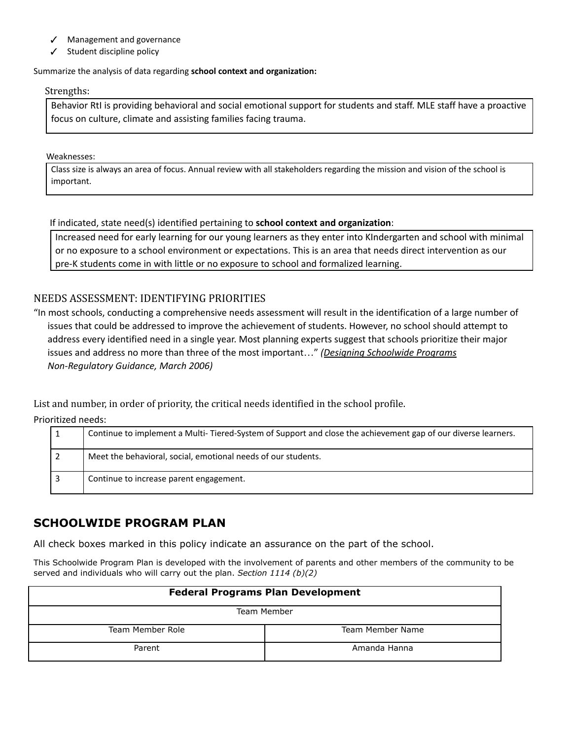- Management and governance
- Student discipline policy

### Summarize the analysis of data regarding **school context and organization:**

### Strengths:

Behavior RtI is providing behavioral and social emotional support for students and staff. MLE staff have a proactive focus on culture, climate and assisting families facing trauma.

Weaknesses:

Class size is always an area of focus. Annual review with all stakeholders regarding the mission and vision of the school is important.

If indicated, state need(s) identified pertaining to **school context and organization**:

Increased need for early learning for our young learners as they enter into KIndergarten and school with minimal or no exposure to a school environment or expectations. This is an area that needs direct intervention as our pre-K students come in with little or no exposure to school and formalized learning.

## NEEDS ASSESSMENT: IDENTIFYING PRIORITIES

"In most schools, conducting a comprehensive needs assessment will result in the identification of a large number of issues that could be addressed to improve the achievement of students. However, no school should attempt to address every identified need in a single year. Most planning experts suggest that schools prioritize their major issues and address no more than three of the most important…" *(Designing [Schoolwide](http://dese.mo.gov/sites/default/files/Schoolwide_Plan_03_06.pdf) Programs Non-Regulatory Guidance, March 2006)*

List and number, in order of priority, the critical needs identified in the school profile.

Prioritized needs:

| Continue to implement a Multi-Tiered-System of Support and close the achievement gap of our diverse learners. |
|---------------------------------------------------------------------------------------------------------------|
| Meet the behavioral, social, emotional needs of our students.                                                 |
| Continue to increase parent engagement.                                                                       |

## **SCHOOLWIDE PROGRAM PLAN**

All check boxes marked in this policy indicate an assurance on the part of the school.

This Schoolwide Program Plan is developed with the involvement of parents and other members of the community to be served and individuals who will carry out the plan. *Section 1114 (b)(2)*

| <b>Federal Programs Plan Development</b><br>Team Member |              |  |
|---------------------------------------------------------|--------------|--|
|                                                         |              |  |
| Parent                                                  | Amanda Hanna |  |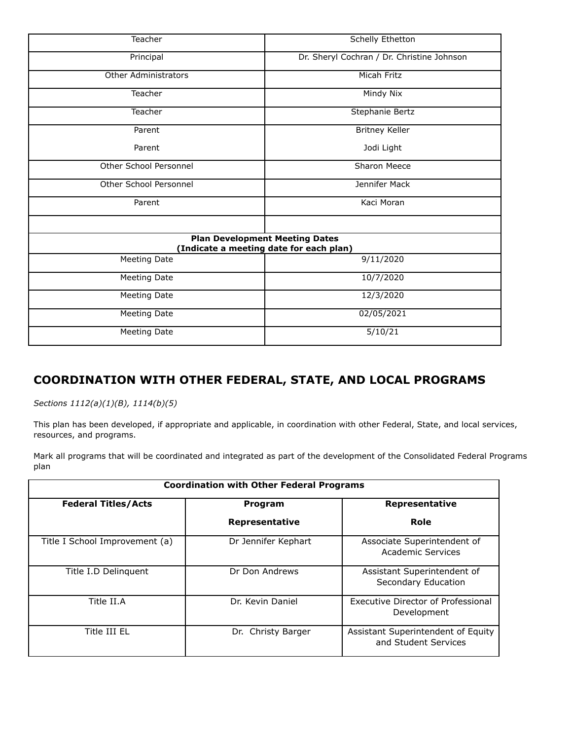| Teacher                     | <b>Schelly Ethetton</b>                                                          |
|-----------------------------|----------------------------------------------------------------------------------|
| Principal                   | Dr. Sheryl Cochran / Dr. Christine Johnson                                       |
| <b>Other Administrators</b> | Micah Fritz                                                                      |
| Teacher                     | Mindy Nix                                                                        |
| Teacher                     | Stephanie Bertz                                                                  |
| Parent                      | <b>Britney Keller</b>                                                            |
| Parent                      | Jodi Light                                                                       |
| Other School Personnel      | Sharon Meece                                                                     |
| Other School Personnel      | Jennifer Mack                                                                    |
| Parent                      | Kaci Moran                                                                       |
|                             |                                                                                  |
|                             | <b>Plan Development Meeting Dates</b><br>(Indicate a meeting date for each plan) |
| <b>Meeting Date</b>         | 9/11/2020                                                                        |
| Meeting Date                | 10/7/2020                                                                        |
| Meeting Date                | 12/3/2020                                                                        |
| Meeting Date                | 02/05/2021                                                                       |
| Meeting Date                | 5/10/21                                                                          |

## **COORDINATION WITH OTHER FEDERAL, STATE, AND LOCAL PROGRAMS**

*Sections 1112(a)(1)(B), 1114(b)(5)*

This plan has been developed, if appropriate and applicable, in coordination with other Federal, State, and local services, resources, and programs.

Mark all programs that will be coordinated and integrated as part of the development of the Consolidated Federal Programs plan

| <b>Coordination with Other Federal Programs</b> |                       |                                                            |  |
|-------------------------------------------------|-----------------------|------------------------------------------------------------|--|
| <b>Federal Titles/Acts</b>                      | Program               | Representative                                             |  |
|                                                 | <b>Representative</b> | Role                                                       |  |
| Title I School Improvement (a)                  | Dr Jennifer Kephart   | Associate Superintendent of<br><b>Academic Services</b>    |  |
| Title I.D Delinguent                            | Dr Don Andrews        | Assistant Superintendent of<br>Secondary Education         |  |
| Title II.A                                      | Dr. Kevin Daniel      | <b>Executive Director of Professional</b><br>Development   |  |
| Title III EL                                    | Dr. Christy Barger    | Assistant Superintendent of Equity<br>and Student Services |  |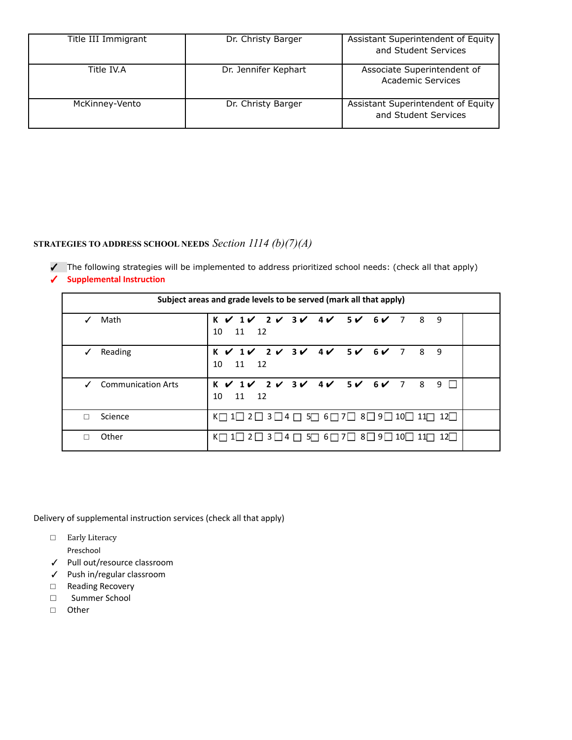| Title III Immigrant | Dr. Christy Barger   | Assistant Superintendent of Equity<br>and Student Services |
|---------------------|----------------------|------------------------------------------------------------|
| Title IV.A          | Dr. Jennifer Kephart | Associate Superintendent of<br>Academic Services           |
| McKinney-Vento      | Dr. Christy Barger   | Assistant Superintendent of Equity<br>and Student Services |

## **STRATEGIES TO ADDRESS SCHOOL NEEDS** *Section 1114 (b)(7)(A)*

✓ The following strategies will be implemented to address prioritized school needs: (check all that apply)

| ✔ |  | <b>Supplemental Instruction</b> |
|---|--|---------------------------------|

| Subject areas and grade levels to be served (mark all that apply) |                                                                                                                                                                |  |  |
|-------------------------------------------------------------------|----------------------------------------------------------------------------------------------------------------------------------------------------------------|--|--|
| Math                                                              | $K$ $V$ $1$ $V$ $2$ $V$ $3$ $V$ $4$ $V$ $5$ $V$ $6$ $V$ $7$ $8$ $9$<br>10<br>11 12                                                                             |  |  |
| Reading                                                           | K V 1V 2V 3V 4V 5V 6V 7 8 9<br>10<br>11 12                                                                                                                     |  |  |
| <b>Communication Arts</b>                                         | $K$ $V$ $1$ $V$ $2$ $V$ $3$ $V$ $4$ $V$ $5$ $V$ $6$ $V$ $7$ $8$<br>$9$ $\Box$<br>10<br>12<br>11                                                                |  |  |
| Science                                                           | K□ 1□ 2□ 3□4 □ 5□ 6□ 7□ 8□ 9□ 10□ 11□ 12□                                                                                                                      |  |  |
| Other                                                             | $K \square$ 1 $\square$ 2 $\square$ 3 $\square$ 4 $\square$ 5 $\square$ 6 $\square$ 7 $\square$ 8 $\square$ 9 $\square$ 10 $\square$ 11 $\square$ 12 $\square$ |  |  |

Delivery of supplemental instruction services (check all that apply)

- □ Early Literacy
	- Preschool
- ✓ Pull out/resource classroom
- ✓ Push in/regular classroom
- □ Reading Recovery
- □ Summer School
- □ Other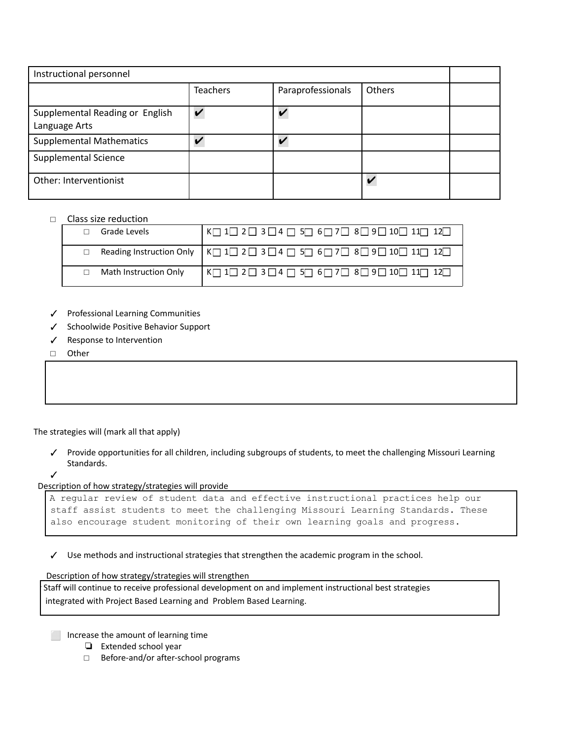| Instructional personnel                          |                 |                   |                         |  |
|--------------------------------------------------|-----------------|-------------------|-------------------------|--|
|                                                  | <b>Teachers</b> | Paraprofessionals | <b>Others</b>           |  |
| Supplemental Reading or English<br>Language Arts |                 | $\overline{ }$    |                         |  |
| <b>Supplemental Mathematics</b>                  |                 |                   |                         |  |
| <b>Supplemental Science</b>                      |                 |                   |                         |  |
| Other: Interventionist                           |                 |                   | $\overline{\mathbf{v}}$ |  |

#### □ Class size reduction

| Grade Levels          |                                                                                                                                        |
|-----------------------|----------------------------------------------------------------------------------------------------------------------------------------|
|                       |                                                                                                                                        |
| Math Instruction Only | $K \square 1 \square 2 \square 3 \square 4 \square 5 \square 6 \square 7 \square 8 \square 9 \square 10 \square 11 \square 12 \square$ |

- ✓ Professional Learning Communities
- ✓ Schoolwide Positive Behavior Support
- ✓ Response to Intervention
- □ Other

The strategies will (mark all that apply)

- ✓ Provide opportunities for all children, including subgroups of students, to meet the challenging Missouri Learning Standards.
- ✓

Description of how strategy/strategies will provide

```
A regular review of student data and effective instructional practices help our
staff assist students to meet the challenging Missouri Learning Standards. These
also encourage student monitoring of their own learning goals and progress.
```
✓ Use methods and instructional strategies that strengthen the academic program in the school.

Description of how strategy/strategies will strengthen

Staff will continue to receive professional development on and implement instructional best strategies integrated with Project Based Learning and Problem Based Learning.

⬜ Increase the amount of learning time

- ❏ Extended school year
- □ Before-and/or after-school programs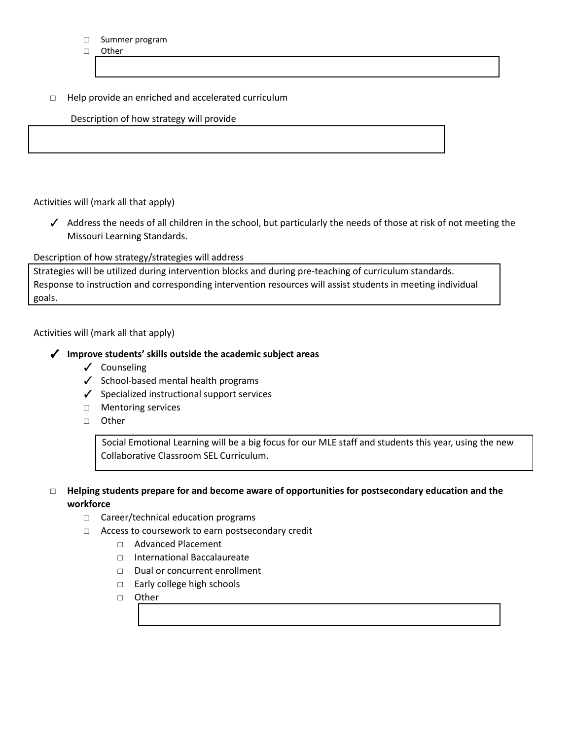#### □ Summer program

□ Other

## □ Help provide an enriched and accelerated curriculum

## Description of how strategy will provide

Activities will (mark all that apply)

✓ Address the needs of all children in the school, but particularly the needs of those at risk of not meeting the Missouri Learning Standards.

Description of how strategy/strategies will address

Strategies will be utilized during intervention blocks and during pre-teaching of curriculum standards. Response to instruction and corresponding intervention resources will assist students in meeting individual goals.

Activities will (mark all that apply)

## ✓ **Improve students' skills outside the academic subject areas**

- ✓ Counseling
- ✓ School-based mental health programs
- ✓ Specialized instructional support services
- □ Mentoring services
- □ Other

Social Emotional Learning will be a big focus for our MLE staff and students this year, using the new Collaborative Classroom SEL Curriculum.

## **□ Helping students prepare for and become aware of opportunities for postsecondary education and the workforce**

- □ Career/technical education programs
- □ Access to coursework to earn postsecondary credit
	- □ Advanced Placement
	- □ International Baccalaureate
	- □ Dual or concurrent enrollment
	- □ Early college high schools
	- □ Other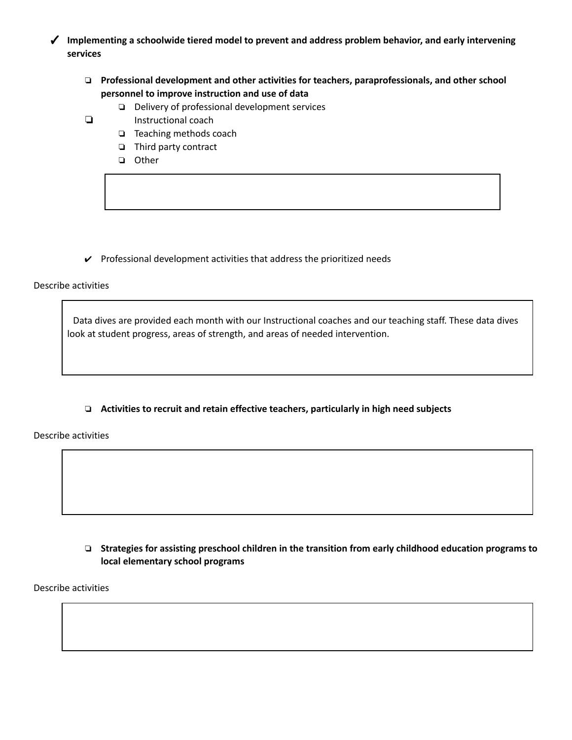✓ **Implementing a schoolwide tiered model to prevent and address problem behavior, and early intervening services**

- ❏ **Professional development and other activities for teachers, paraprofessionals, and other school personnel to improve instruction and use of data**
	- ❏ Delivery of professional development services
- ❏ Instructional coach
	- ❏ Teaching methods coach
	- ❏ Third party contract
	- ❏ Other

 $\checkmark$  Professional development activities that address the prioritized needs

Describe activities

Data dives are provided each month with our Instructional coaches and our teaching staff. These data dives look at student progress, areas of strength, and areas of needed intervention.

❏ **Activities to recruit and retain effective teachers, particularly in high need subjects**

Describe activities

❏ **Strategies for assisting preschool children in the transition from early childhood education programs to local elementary school programs**

Describe activities